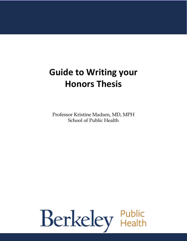# **Guide to Writing your Honors Thesis**

Professor Kristine Madsen, MD, MPH School of Public Health

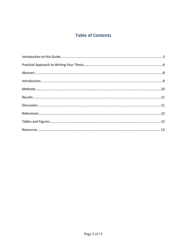# **Table of Contents**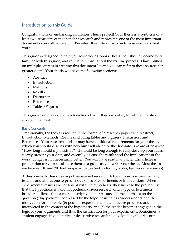## Introduction to this Guide

Congratulations on embarking an Honors Thesis project! Your thesis is a synthesis of at least two semesters of independent research and represents one of the most important documents you will write at UC Berkeley. It is critical that you turn in your very best work.

This guide is designed to help you write your Honors Thesis. You should become very familiar with this guide, and return to it throughout the writing process. I have pulled on multiple sources in creating this document, 1-4 and you can refer to these sources for greater detail. Your thesis will have the following sections:

- Abstract
- Introduction
- Methods
- Results
- Discussion
- References
- Tables/Figures

This guide will break down each section of your thesis in detail, to help you write a strong initial draft.

#### Basic Concepts

Traditionally, the thesis is written in the format of a research paper with Abstract, Introduction, Methods, Results (including tables and figures), Discussion, and References. Your research advisor may have additional requirements for your thesis, which you should discuss with her/him well ahead of the due date. We are often asked "How long should my thesis be?" It should be long enough to fully develop your ideas, clearly present your data, and carefully discuss the results and the implications of the work. Longer is not necessarily better. You will have read many scientific articles in preparation for your thesis; use them as a guide as you write your thesis. Most theses are between 10 and 20 double-spaced pages (not including tables, figures or references).

A thesis usually describes hypothesis-based research. A hypothesis is experimentally testable and allows one to predict outcomes of experiments or interventions. When experimental results are consistent with the hypothesis, they increase the probability that the hypothesis is valid. Hypothesis-driven research often appeals to a much broader audience than a more descriptive paper because (a) the emphasis on the question ("big picture") addressed by the hypothesis helps readers understand the motivation for the work, (b) possible experimental outcomes are predicted and interpreted in the context of the hypothesis, and (c) the reader becomes engaged in the logic of your arguments and thus the justification for your experiments. Sometimes, a student engages in qualitative or descriptive research to develop new theories or to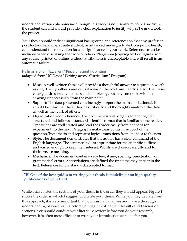understand various phenomena; although this work is not usually hypothesis-driven, the student can and should provide a clear explanation to justify why s/he undertook the project.

Your thesis should include significant background and references so that any professor, postdoctoral fellow, graduate student, or advanced undergraduate from public health, can understand the motivation for and significance of your work. References must be included when discussing the work of others. Plagiarism (copying text or figures from any source, printed or online, without attribution) is unacceptable and will result in an automatic failure.

#### Hallmarks of an "Excellent" Piece of Scientific writing

(adapted from UC Davis "Writing across Curriculum" Program):

- Ideas: A well-written thesis will provide a thoughtful answer to a question worth asking. The hypothesis and central ideas of the work are clearly stated. The thesis clearly addresses any nuances and complexity, but stays on track, without straying unnecessarily from the main point.
- Support: The data presented convincingly support the main conclusion(s). It should be clear that the author has critically and thoroughly analyzed the data, as well as the work of others.
- Organization and Coherence: The document is well organized and logically structured and follows a standard scientific format that is familiar to the reader. Transitions are well crafted and lead the reader easily from one idea (or experiment) to the next. Paragraphs make clear points in support of the question/hypothesis and represent logical transitions from one idea to the next.
- Style: The document demonstrates that the author has a clear command of the English language. The sentence style is appropriate for the scientific audience and varied enough to keep their interest. Words are chosen carefully and for their precise meaning.
- Mechanics: The document contains very few, if any, spelling, punctuation, or grammatical errors. Abbreviations are defined the first time they appear in the text. References follow standard, accepted format.

TIP**: One of the best guides to writing your thesis is modeling it on high-quality publications in your field.**

While I have listed the sections of your thesis in the order they should appear, Figure 1 shows the order in which I suggest you write your thesis. While you may deviate from this approach, it is very important that you finish all analyses and have a thorough understanding of your results before you begin writing your Results and Discussion sections. You should conduct your literature review before you do your research; however, it is often most efficient to write your Introduction section after you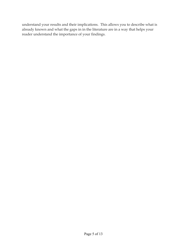understand your results and their implications. This allows you to describe what is already known and what the gaps in in the literature are in a way that helps your reader understand the importance of your findings.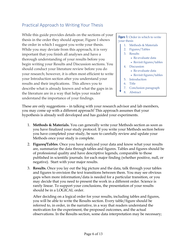# Practical Approach to Writing Your Thesis

While this guide provides details on the sections of your thesis in the order they should appear, Figure 1 shows the order in which I suggest you write your thesis. While you may deviate from this approach, it is very important that you finish all analyses and have a thorough understanding of your results before you begin writing your Results and Discussion sections. You should conduct your literature review before you do your research; however, it is often most efficient to write your Introduction section after you understand your results and their implications. This allows you to describe what is already known and what the gaps in in the literature are in a way that helps your reader understand the importance of your findings.

#### **Figure 1:** Order in which to write your thesis

- 1. Methods & Materials
- 2. Figures/Tables
- 3. Results
	- Re-evaluate data
	- Revisit figures/tables
- 4. Discussion
	- Re-evaluate data
	- Revisit figures/tables
- 5. Introduction
- 6. Title
- 7. Conclusion paragraph
- 8. Abstract

These are only suggestions – in talking with your research advisor and lab members, you may come up with a different approach! This approach assumes that your hypothesis is already well developed and has guided your experiments.

- 1. **Methods & Materials.** You can generally write your Methods section as soon as you have finalized your study protocol. If you write your Methods section before you have completed your study, be sure to carefully review and update your Methods once your study is complete.
- 2. **Figures/Tables**. Once you have analyzed your data and know what your results are, summarize the data through tables and figures. Tables and figures should be of professional quality and have descriptive legends, comparable to those published in scientific journals. for each major finding (whether positive, null, or negative). Start with your major results.
- 3. **Results.** Once you lay out the big picture and the data, talk through your tables and figures to envision the text transitions between them. You may see obvious gaps when more information/data is needed for a particular transition, or you may decide that you need to present the work in a different order. Science is rarely linear. To support your conclusions, the presentation of your results should be in a LOGICAL order.

After deciding on a logical order for your results, including tables and figures, you will be able to write the Results section. Every table/figure should be referred to, in order, in the narrative, in a way that readers understand the motivation for the experiment, the proposed outcomes, and the actual observations. In the Results section, some data interpretation may be necessary;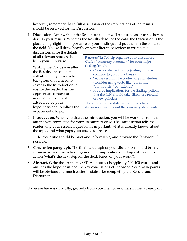however, remember that a full discussion of the implications of the results should be reserved for the Discussion.

4. **Discussion.** After writing the Results section, it will be much easier to see how to discuss your results. Whereas the Results describe the data, the Discussion is the place to highlight the importance of your findings and put them in the context of the field. You will draw heavily on your literature review to write your

discussion, since the details of all relevant studies should be in your lit review.

Writing the Discussion after the Results are completed will also help you see what background you need to cover in the Introduction to ensure the reader has the appropriate context to understand the question addressed by your hypothesis and to follow the experimental logic.

**Piscussion Tip:** To help organize your discussion, Craft a "summary statement" for each major finding/result.

- Clearly state the finding (noting if it was contrary to your hypothesis)
- Set the result in the context of prior studies (consider using verbs like "confirms," "contradicts," or "extends"
- Provide implications for the finding (actions that the field should take, like more research or new policies)

Then organize the statements into a coherent discussion, fleshing out the summary statements.

- 5. **Introduction.** When you draft the Introduction, you will be working from the outline you completed for your literature review. The Introduction tells the reader why your research question is important, what is already known about the topic, and what gaps your study addresses.
- 6. **Title.** Your title should be brief and informative, and provide the "answer" if possible.
- 7. **Conclusion paragraph**. The final paragraph of your discussion should briefly summarize your main findings and their implications, ending with a call to action (what's the next step for the field, based on your work?).
- 8. **Abstract.** Write the abstract LAST. An abstract is typically 200-400 words and outlines the hypothesis and the key conclusions of the work. Your main points will be obvious and much easier to state after completing the Results and Discussion.

If you are having difficulty, get help from your mentor or others in the lab early on.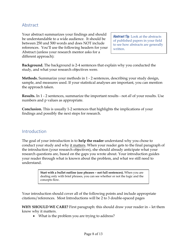## Abstract

Your abstract summarizes your findings and should be understandable to a wide audience. It should be between 250 and 500 words and does NOT include references. You'll use the following headers for your Abstract (unless your research mentor asks for a different approach):

**Abstract Tip:** Look at the abstracts of published papers in your field to see how abstracts are generally written.

**Background.** The background is 2-4 sentences that explain why you conducted the study, and what your research objectives were.

**Methods.** Summarize your methods in 1 - 2 sentences, describing your study design, sample, and measures used. If your statistical analyses are important, you can mention the approach taken.

**Results.** In 1 - 2 sentences, summarize the important results - not *all* of your results. Use numbers and p values as appropriate.

**Conclusion.** This is usually 1-2 sentences that highlights the implications of your findings and possibly the next steps for research.

## Introduction

The goal of your introduction is to **help the reader** understand why you chose to conduct your study and why it matters. When your reader gets to the final paragraph of the introduction (your research objectives), she should already anticipate what your research questions are, based on the gaps you wrote about. Your introduction guides your reader through what is known about the problem, and what we still need to understand.

> **Start with a bullet outline (use phrases – not full sentences).** When you are dealing only with brief phrases, you can see whether or not the logic and the concepts flow.

Your introduction should cover all of the following points and include appropriate citations/references. Most Introductions will be 2 to 3 double-spaced pages

**WHY SHOULD WE CARE?** First paragraph: this should draw your reader in – let them know why it matters.

• What is the problem you are trying to address?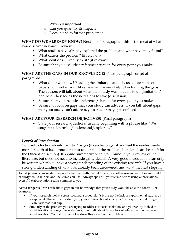- o Why is it important
- o Can you quantify its impact?
- o Does it lead to further problems?

**WHAT DO WE ALREADY KNOW?** Next set of paragraphs – this is the meat of what you discover in your lit review.

- What studies have already explored the problem and what have they found?
- What causes the problem? (if relevant)
- What solutions currently exist? (if relevant)
- Be sure that you include a reference/citation for every point you make

**WHAT ARE THE GAPS IN OUR KNOWLEDGE?** (Next paragraph, or set of paragraphs)

- What don't we know? Reading the limitation and discussion sections of papers you find in your lit review will be very helpful in framing the gaps. The authors will talk about what their study was not able to do (limitations) and what they see as the next steps to take (discussion).
- Be sure that you include a reference/citation for every point you make
- Be sure to focus on gaps that your study can address. If you talk about gaps that your study can't address, your reader may get confused.

#### **WHAT ARE YOUR RESEARCH OBJECTIVES?** (Final paragraph)

• State your research questions, usually beginning with a phrase like, "We sought to determine/understand/explore…"

#### *Length of Introduction*

Your introduction should be 1 to 2 pages (it can be longer if you feel the reader needs more breadth of background to best understand the problem, but details are best left for the Discussion section). It should summarize what you found in your review of the literature, but does not need to include gritty details. A very good introduction can only be written when you have a strong understanding of the existing research. If you have a strong understanding of what has already been discovered, and what the next steps in

**Avoid jargon**. Your reader may not be familiar with the field. Be sure another researcher not in your field of study would understand the terms you use. Always spell out your terms before using abbreviations, even if the abbreviation seems common to you.

**Avoid tangents**. Don't talk about gaps in our knowledge that your study won't be able to address. For example:

- If your research tool is a cross-sectional survey, don't bring up the lack of experimental studies as a gap. While this is an important gap, your cross-sectional survey isn't an experimental design, so it can't address that gap.
- Similarly, if the problem you are trying to address is social isolation, and your study looked at social isolation among college students, don't talk about how a lack of education may increase social isolation. Your study cannot address this aspect of the problem.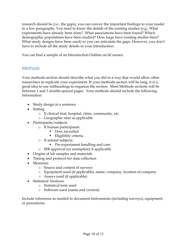research should be (i.e., the gaps), you can convey the important findings to your reader in a few paragraphs. You need to know the details of the existing studies (e.g., What experiments have already been done? What associations have been found? Which demographic populations have been studied? How large have existing studies been? What study designs have been used) so you can articulate the gaps. However, you don't have to include all the study details in your introduction.

You can find a sample of an Introduction Outline on bCourses.

# Methods

Your methods section should describe what you did in a way that would allow other researchers to replicate your experiment. If your methods section will be long, it is a good idea to use subheadings to organize the section. Most Methods sections will be between 1 and 3 double-spaced pages. Your methods should include the following information:

- Study design in a sentence
- Setting
	- o If clinical trial, hospital, clinic, community, etc.
	- o Geographic sites as applicable
- Participants/subjects
	- o If human participants:
		- How recruited
		- Eligibility criteria
	- o If animal subjects:
		- Pre-experiment handling and care
	- o IRB approval (or exemption) if applicable
- Origins of lab samples and materials
- Timing and protocol for data collection
- Measures
	- o Source and content of surveys
	- o Equipment used (if applicable), name, company, location of company
	- o Assays used (if applicable)
- Statistical Analyses
	- o Statistical tests used
	- o Software used (name and version)

Include references as needed to document instruments (including surveys), equipment, or procedures.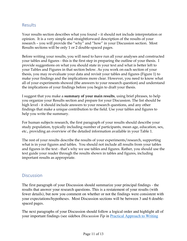## Results

Your results section describes what you found – it should not include interpretation or opinion. It is a very simple and straightforward description of the results of your research – you will provide the "why" and "how" in your Discussion section. Most Results sections will be only 1 or 2 double-spaced pages.

Before writing your results, you will need to have run all your analyses and constructed your tables and figures - this is the first step in preparing the outline of your thesis. I provide suggestions on what you should state in your text and what is better left to your Tables and Figures in that section below. As you work on each section of your thesis, you may re-evaluate your data and revisit your tables and figures (Figure 1) to make your findings and the implications more clear. However, you need to know what all of your experiments showed (the answers to your research question) and understand the implications of your findings before you begin to draft your thesis.

I suggest that you make a **summary of your main results**, using brief phrases, to help you organize your Results section and prepare for your Discussion. The list should be high level - it should include answers to your research questions, and any other findings that make a unique contribution to the field. Use your tables and figures to help you write the summary.

For human subjects research, the first paragraph of your results should describe your study population, typically including number of participants, mean age, education, sex, etc., providing an overview of the detailed information available in your Table 1.

The rest of your results describe the results of your experiments/research, supporting what is in your figures and tables. You should not include all results from your tables and figures in the text - that's why we use tables and figures. Rather, you should use the text guide your reader through the results shown in tables and figures, including important results as appropriate.

### **Discussion**

The first paragraph of your Discussion should summarize your principal findings - the results that answer your research questions. This is a restatement of your results (with fewer details), but now you comment on whether or not the findings were consistent with your expectations/hypotheses. Most Discussion sections will be between 3 and 6 doublespaced pages.

The next paragraphs of your Discussion should follow a logical order and highlight all of your important findings (see sidebox *Discussion Tip* in Practical Approach to Writing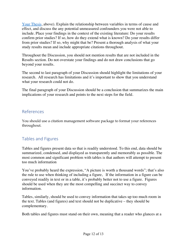Your Thesis, above). Explain the relationship between variables in terms of cause and effect, and discuss the any potential unmeasured confounders you were not able to include. Place your findings in the context of the existing literature: Do your results confirm prior studies? If so, how do they extend what is known? Do your results differ from prior studies? If so, why might that be? Present a thorough analysis of what your study results mean and include appropriate citations throughout.

Throughout the Discussion, you should not mention results that are not included in the Results section. Do not overstate your findings and do not draw conclusions that go beyond your results.

The second to last paragraph of your Discussion should highlight the limitations of your research. All research has limitations and it's important to show that you understand what your research could not do.

The final paragraph of your Discussion should be a conclusion that summarizes the main implications of your research and points to the next steps for the field.

## References

You should use a citation management software package to format your references throughout.

# Tables and Figures

Tables and figures present data so that is readily understood. To this end, data should be summarized, condensed, and displayed as transparently and memorably as possible. The most common and significant problem with tables is that authors will attempt to present too much information

You've probably heard the expression, "A picture is worth a thousand words"; that's also the rule to use when thinking of including a figure, If the information in a figure can be conveyed readily in text or in a table, it's probably better not to use a figure. Figures should be used when they are the most compelling and succinct way to convey information.

Tables, similarly, should be used to convey information that takes up too much room in the text. Tables (and figures) and text should not be duplicative – they should be complementary.

Both tables and figures must stand on their own, meaning that a reader who glances at a